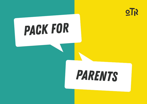

# *pack for*

# *parents*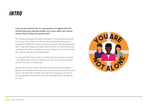## *INTRO*

**If you are the parent/carer of a young person struggling with their mental health you may feel isolated, out of your depth, you may be asking "Why us? Why not someone else?"** 

You may be asking yourself again and again if it was something you did, if in fact you are to blame for this. You will probably feel that you're illequipped to handle this fragile, hurting young person, yet you desperately want to see them happy and able to face the world. You feel that you are stumbling in the dark and making so many mistakes. This is not just about your child, it's also about the whole family.

You may also feel that you need to protect your young person's privacy – and indeed they may have asked that you do so. This means however that you are set on a solitary path.

But you are not alone, there is help. We have produced this booklet to give you some guidance and tips as you take this journey with your young person. We hope that this helps. We hope that one day you can look at this young person and be struck with awe and pride at how strong they are now.

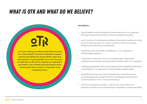## *What is OTR and what do we believe?*



**it's a mental health movement mobilised to support, promote and defend the mental health, rights and social position of young people! How we do this is just as important as what we do, because our approach is grounded in a set of beliefs and assumptions about mental health that we think it is important to be transparent about.**

#### **We believe...**

- mental health is social and political as well as personal, so our approach embraces social action and tries to influence systems and policy.
- that in the face of contemporary diversity, all theoretical models are wrong, but all of them are useful. As a result, we build our team from diverse backgrounds, experiences and disciplines.
- relationships are what makes the difference so our approach is fundamentally relational.
- in the power of networks, and so we emphasise peer relationships, professional partnerships and organisational collaboration in our approach.
- enabling young people starts with recognising their capabilities before their vulnerabilities, so our approach is fundamentally strengths based.
- participatory services are more sustainable than transactional ones, so young people play a large and active role designing, delivering and communicating our work - not just consuming it.
- what we do should be a vocation and we love what we do! So our approach and team are full of enthusiasm, imagination, curiosity and talent.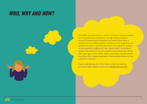## *Who, Why and How?*

This leaflet was produced by a small co-production group consisting of OTR professionals and parents. Through talking to parents in the OTR parent group and parents we meet at Hubs (drop-in sessions) and counselling sessions, and also our own experience, we realised that there is very little information and support for parents of young people struggling with their mental health. We devised a questionnaire and sent this out to parents and professionals asking them what type of information, advice and support they felt parents would like. After studying responses to these questionnaires we have created this resource.

If you would like any other information, or feel that anything should be added, please contact us at hello@otrbristol.org.uk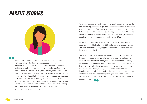## *PARENT STORIES*





My son has always had issues around school, he has never felt secure in a school environment; sudden changes to that environment and to the expectations placed upon him led to debilitating feelings of anxiety that were made manifest in his refusal to to into school. Usually this was very short term, one or two days, after which he would return. However in September last year my child refused to begin year nine at his secondary school, this time it was not just a few days but stretched on for many months. This created a feedback loop for him in that as the length of the absence increased so did the size of the task of returning; his anxiety grew exponentially, suddenly he was looking up at a mountain that he could not climb.

When you see your child struggle in this way it becomes very painful and distressing, I needed to get help, I needed reassurance that there was a pathway out of this situation. It is easy to feel helpless and a failure as a parent but reaching out for help taught me that I was not alone and there are people with whom I could share my experience, people who help and support can make a real difference.

OTR was an invaluable resource for my son and myself offering practical support in the form of CBT and a parental support group. This was provided in a fully supportive environment where we were heard and not judged.

The level of trust we experienced through our contact with Off the Record has helped us to move forward and begin to feel positive in what has otherwise been a very dark and stressful time. Suddenly I understood that young people can be vulnerable and confused and that this is normal. I also understood that there was a dunamic here where I was being triggered by this situation, feeling inadequate, hopeless and fearful, understanding this was the first step in enabling me to work through these feelings and gain a new perspective allowing me to move forward which in turn gave me the strength to support my son.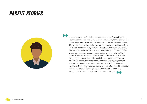## *PARENT STORIES*



It has been amazing. Firstly by removing the stigma of mental health issues amongst teenagers. Sadly resources are lacking for the children. As a parent you feel judged and question could i have been a better parent, GP instantly focus on family life, I almost felt I had let my child down. How could i not have noticed my child was struggling when she covers it well. Meeting other parents I now realise it is sadly widespread. I have felt the group has been really supportive, non judgemental and informative. It has enabled me to open up to friends and find there are more people struggling than you would think. I would like to expand on this and am doing a CBT course to support people based on this. My only problem is that I cannot get to the meeting on time due to work commitments, however nobody makes you feel bad for arriving late, I think it is fantastic and cannot praise OTR enough. A year ago we were desperately struggling for guidance. I hope it can continue. Thank you.

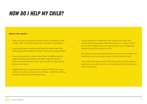## *how do i help my child?*

#### **Before the session:**

- Make sure your young person wants to go to counselling or other activity - don't force them, allow them to decide for themselves.
- If your young person is anxious about their first appointment, ask them openly: what is going on for them? How can you support them?
- If your young person is anxious about their counselling sessions please remember that parents and carers have the option to come into those sessions as well - you can offer it to your young person as an option.
- Suggest the Hubs as a good place to meet OTR staff and a way to learn more about services and our offices - sometimes walking through the door can be the hardest step.
- It's also important to remember that if parents and carers are anxious their young people might feel anxious too - explore if this is uour or their anxiety. Come to our parent drop-ins to manage your feelings and get more support on this.
- Some parents like to educate themselves more on mental health and sometimes come to our paid courses - that's an option as well.
- If you need more free advice or information about the first session or any other service, do come into our Hubs. Being informed makes you more confident too.

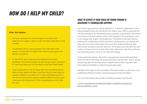## *how do i help my child?*

#### **After the session:**

- Give your young person time and space to process their experience of support - go for a walk with them, take them out for a coffee.
- It is perfectly OK for a young person not to talk about their session. It's important to respect their need for time, space and silence to process it.
- It's also OK for you to ask about the session but try to do it tentatively: "How was the session for you? Do you want to talk about it? Just so you know you can talk about it a bit later if that's better."
- If your young person did not enjoy their first counselling session there are few options: let them know that they can stop, they can request a different counsellor but it's also worth being aware of the fact that the first few sessions might be difficult and it's worth continuing with the process. It's OK and perfectly normal to feel this way.

## *What to expect if your child or young person is accessing 1:1 counselling support*

Your child or young person will be offered 6 or 7 sessions, depending on how they accessed the service. During the first session, your child or young person will informed about our attendance policy and given more general information such as how long each session will be, what happens if the practitioner is sick or on holiday, how to get in the building etc. Practitioners will share that the sessions are confidential and that the child or young person can choose who they want us to share information with (such as a trusted adult) and what information we share, if we ever need too. The sessions are also client led with means it is their choice as to what information they share with the practitioner and what they want to work on as a goal for therapy.

At the end of the sessions, the child or young person will be informed about other services at OTR they can access and how to do this. Your child or young person may also be informed about a specific service that may best meet their needs and therefore a referral may be discussed.

We believe the way we work, embodies OTR ethical values as well as our own professional ethical principles, values and good practice standards.

For more information about what counselling is, please view this link:

HTTPS://WWW.BACP.CO.UK/MEDIA/1917/BACP-CHOOSING-COUNSELLOR-PSYCHOTHERAPIST-C3.PDF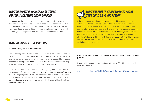## *What to expect if your child or young person is accessing group support*

It is important that your child or young person has opted in to the group themselves however they do not have to speak if they don't want to. They can go through all 6 without saying a word but will still pick up some great resources. If you or your child or young person wish to know more or feel worried, you can request to read the feedback from previous users.

## *What to expect at the Drop-ins*

#### **OTR has two types of drop-in services:**

The Hubs are places where you and your child or young person can find out more about OTR and the various services on offer. You can expect a friendly and welcoming atmosphere in an informal setting. Here your child or young person can be registered and signed up to a service that they chose if they wish. You can also find out about the Parent Group at OTR.

Other drop-ins are places where your child or young person can attend to do an activity. These drop-ins do not have waiting lists and you don't have to sign up. They are places where a child or young person can be with others in a safe and relaxed environment and they can bring a friend! There is always somebody around to talk to if they are experiencing something difficult but they don't have to.

## *What happens if we are worried about your child or young person*

If the practitioner is really worried about your child or young person, they will be supported to complete a Safety Plan which aims to highlight how they can keep themselves safe. This may include talking to other people such as a family member, teacher or friend or outside organisations such as Samaritans or the like. The practitioner will share that they need to talk to their safeguarding lead and from this discussion, a plan will be agreed upon about next steps and this may include a conversation with the child or young persons trusted adult, a conversation with the GP or another service that might best suit their needs.

#### **Useful information about Children and Adolescent Mental Health Services (CAMHS) -**

If your child or young person has been referred to CAMHS, this is a useful guide on what it is.

www.youngminds.org.uk/find-help/your-guide-to-support/guide-to-camhs/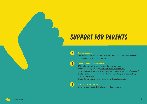## *support for parents*

#### **General support:**

**A&E, Crisis Team, GPs, school staff, libraries, local authorities and MPs, community centres, children centres** 

### **General mental health support:**

**OTR Hubs www.otrbristol.org.uk/what-we-do/hubs/ Bristol Wellbeing Services www.iapt-bristol.awp.nhs.uk/ Bristol Mindline www.bristolmind.org.uk/help-and-counselling/mindline/ Bristol Mind Advocacy www.bristolmind.org.uk/help-and-counselling/ outreach-advocacy/**

**Bristol Samaritans www.samaritans.org/branches/bristol/** 

## *3*

*1*

*2*

**Specific, tailored support**

**please check www.otrbristol.org.uk/other-support/**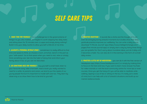## *self care tips*

**1. MAKE TIME FOR YOURSELF** - it is a challenge but in the grand scheme of things it is you who matters, so maybe it's worth skipping few daily tasks and sitting down for 15 minutes over a cuppa and simply doing nothing? Build it into your daily routine to allow yourself a little bit of me-time.

**2. ALLOCATE A PERSONAL RETREAT SPACE -** sometimes it is really difficult to find time and space to think, so choose a room, armchair, bench in the part as your "safe space". Go to that space when you need to rest, relax or simply think something over. Get into the habit of doing that and inform your family about it too, so you are not disturbed.

**3. DO SOMETHING NICE FOR YOURSELF -** buy yourself a small treat, listen to your favourite song, take a hot bath, read a book you really wanted to read for a while. As parents and carers, we tend to put the needs of our young people first but it's important to model self-care too. They learn by observing us so show them how to be kind to yourself.

4. PRACTICE GRATITUDE - it sounds like a cliche and the thought of it can even be annoying during stressful moments but studies show that daily gratitude practice improves our wellbeing. You can write a daily journal, download "5 Minute Journal" app (https://www.intelligentchange.com/ pages/five-minute-journal-app) or simply start a day by listing three things you are grateful for. Don't worry about mundane ideas, just do it daily until it becomes a habit. You can also do it in the evening in the form of a small daily review.

*5. Practice a little bit of meditation -* you can do it with the free version of Headspace app (https://www.headspace.com/) or simply by making time to focus on the here and now. If you want to learn more, browse YouTube for video tutorials or visit the local community centre for more tips or even courses. Once you get the hang of it you will be able to meditate while walking, sipping a cup of tea or sitting on the bus. It's really just a state of mind, but it can help with a lot of stressful situations and build up our mental resilience levels.

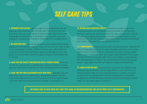## *self care tips*

**6. RECONNECT WITH NATURE -** go for a walk, do some gardening, walk the dog, buy a new house plant, go for a bike ride. Make time for yourself. Slow down. Focus on small aspects of those activities. Reach out to local organisations to identify free or adorable outdoor activities. Join local walking or running groups. Choose an achievable and accessible activity.

*7. Do something new -* yes, we can be very busy but doing something new, slightly out of the ordinary really stimulates our bran and can make us feel a bit more energetic. Choose a different route for your walk or discover a new part of your local area. Read a book on a new topic or join a new group. You can even learn something new, as long as it is achievable and fun for you.

**8. MAKE TIME FOR QUALITY CONVERSATION WITH A TRUSTED FRIEND - book out** an hour for a phone call or a meeting with a person who listens well and gets you. Spend time connecting with them and enjoying the time together.

*9. Make time for your relationship with your child -* dedicate a day, an afternoon or even just a bedtime for a relaxed time together with your child, make it light and fun for both of you and use it as an opportunity to re-connect, joke, share activities and have deeper conversations too.

*10. Reverse roles gratitude activity -* sometimes we take on too much as parents/carers so for this activity spend time exploring the following questions: what do you receive and learn from your young person? what do they give you? what do they do for you? what makes you proud of them? what moments with them bring you joy? how can you cultivate those feelings and create a safe space for more moments like this?

*11. F-word activity -* make time to sit down and think about your approach to failure. Young people grow up in a very competitive world so it can be really helpful to learn to manage failure and as parents/carers, we have a great opportunity to model it for them. How do you celebrate failure? How do you feel about it? How do you deal with it? How can we help our young people with their experiences of failure? You can also discuss this with your young person - they might have their own ways and coping mechanisms too.

**12. LEARN TO ASK FOR HELP -** if you are stuck, worried or out of depth model asking for help. Sometimes it can be really difficult to even admit that we need to advise or help, but it's an important skill for us and for our young people as well. It's perfectly OK not be OK sometimes but we should not struggle alone. At OTR Bristol we value the importance of collective mental health, so if you need support, do ask for it.

## *We would love to hear your self-care tips! email at hello@otrbristol.org.uk or tweet us at @otrbrustol*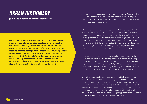## *urban dictionary*

**(a.k.a The meaning of mental health terms)**

**Mental health terminology can be really overwhelming but it can also sometimes be misunderstood which makes the conversation with a young person harder. Sometimes we might not know the true meaning of a term, know its popular meaning or slang concept. In the meantime, our young people grow up using some of those terms differently depending on their context. So it's helpful to find a common language in order to help them talk to us and to mental health professionals about their potential worries. Here is a simple idea of how to practice talking about mental health.** 

Sit down with your young person, with two clean pages of paper and two pens. Look together at the below list of terms and concepts: empathy, mindfulness, resilience, self-care, OCD, addiction, bullying, anxiety, distress, body image, depressed, stigma

Take 5 minutes to write down your personal definition or description of each term separately and then discuss it together. Use so-called open-ended questions (starting with words: why, how, who, where, what…) for example: how do you define this? what does this word mean to you? how would you explain it to your friend? Avoid closed questions that prompt simple yes or no answer. Avoid judging or correcting - just listen and then share your understanding of the terms. This activity is not about getting it right, but about finding a mutual understanding of our different perceptions.

If appropriate you can move to more complex terms: abuse, suicidal, death/bereavement, gender identity, identity, rumination, counselling, medication, self-harm, trauma, peer support - there is no rule, of course, so you need to adjust it to your knowledge of the young person and your own feelings around those terms. Try to mix negative with positive terms to make this activity/conversation more manageable for both of you.

Alternatively, you can focus on one term and just talk about that by starting with the question: I am wondering what "depressed" really means to you and your friends? How would you describe it? At OTR Bristol we believe in normalising conversations about difficult subjects to enable the connection between carers and young people. It's good to be understood and prepared for situations when talking about mental health might be really difficult. It's worth explaining to your young person at the end of this activity your intention to understand them a bit better.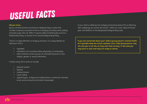# *useful facts*

#### **Did you know...**

By law, all state Schools should have a Bullying Policy in place that includes measures to prevent all forms of bullying (including name calling) amongst pupils. (Gov.uk, 2019). It may be called something else such as a Relationship Policy, or be part of an overall Safeguarding Policy.

There is no legal definition of bullying, however, it's usually defined as behaviour that is:

- repeated;
- intended to hurt someone either physically or emotionally;
- often aimed at certain groups, for example because of race, religion, gender or sexual orientation.

It takes many forms and can include:

- physical assault
- teasing
- making threats
- name calling
- cyberbullying bullying via mobile phone or online (for example email, social networks and instant messenger)

If your child is suffering from bullying, (and particularly if this is affecting their wellbeing), do contact the school – either our tutor, head of house/ year, the SENDCo or the Designated Safeguarding Lead.

**If you are concerned about your child's/young person's mental health, do if possible keep the school updated. (Your child/young person may not wish you to do this, as they want their privacy. In this case you may have to wait until they are ready to share).**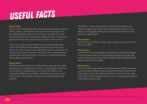# *useful facts*

#### **Did you know...**

As part of their safeguarding duties, all schools should protect the privacy of their students, including their online privacy. This is also part of the new GDPR regulations which came into force in May 2018. It is not OK for another young person to have your child's password, or for all young people to have the same password to access their school accounts.

There are a number of organisations who can help with difficulties at school. Off The Record have Wellbeing Practitioners who visit some schools. The school may have Learning Mentors and/or a Counsellor. The school may refer you to Families in Focus, who work to support families. Leading Lights also provide tuition, mentoring, counselling and therapy, family support and advocacy.

#### Did you know...

By 2025 all schools should have a Mental Health Lead, who has overall responsibility for monitoring mental health in schools (staff and pupils)? At the moment for pupils/students, this is often the SENDCo or the Designated Safeguarding Lead (DSL). The Mental Health lead will also have a contact within Children and Adolescent Mental Health Service (CAMHS).

The SENDCo is often responsible for inclusion, which includes those children struggling with mental health. Depending on the nature of the difficulty, the Designated Safeguarding Lead may be involved in some aspects of mental health.

#### Did you know...

If your child or young person needs urgent support, you can take them to A&E. (Mind, 2018).

#### Did you know...

1 in 10 children and young people are affected by mental health disorders. If children aged between 5 and 16 don't get the support they need, their problems will get worse. (The Children's Society, 2018: NHS England, 2019: Mental Health Task Force, 2016).

#### Did you know...

75% of all mental health problems are established by the time somebody is 18. By not giving children and young people the support they need at a young age, society is allowing their problems to manifest. With the right support at the right time, these problems can be managed and prevented. (The Childrens Society, 2018).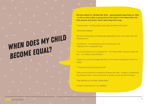**We have asked our Membership Team - young people supporting our Hubs - to tell us what makes a young person feel equal in the relationship with their parents and carers. Here's what they had to say:**

"A good laugh - humility, being more approachable and human"

"Admitting mistakes"

"Sense of vulnerability and letting go, especially of your own world view and accepting ours"

"Consistency - not pretending to be someone your not" "Taking to us in a respectful way"

"Try to see things from our perspective - don't say "when I was your age I did this" - our reality can be different"

"Explain our cultural heritage and allow us to choose the elements that fit our realitu"

"Treat girls and boys equally, be fair"

"Rules can be a barrier or protection. Explain the rules - it helps to understand why they are there - most of the time to protect us, but we want to know"

"Stop fighting us, just listen. Really listen"

"Create a safe space for our rebellion"

# *when does my child become equal?*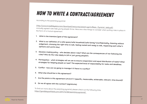## *how to write a contract/agreement*

According to the parenting pyramid:

(http://www.incredibleyears.com/download/resources/parent-pgrm/Basic\_Pyramid\_Web.pdf) mutually agreed rules help young people thrive. Here are a few things to consider when putting rules in place in the form of a mutual agreement:

- **1. What is the intention/goal of this agreement?**
- **2. What is our definition of a safe space/safe household/safe family? (Confidentiality, listening without judgement, choosing the right time to talk, feeling rested and ready to talk, respecting each other's opinions and world view)**
- **3. Decision-making policy who decides about rules? What are the consequences of not following the rules? Who do the rules apply to (all or just young people?)**
- **4. Participation what strategies will we use to ensure cooperation and equal distribution of tasks? What strategies for keeping people on task? The expected level of responsibility for tasks and deadlines.**
- **5. Conflict how are we going to manage it if there is a conflict?**
- **6. What else should be in this agreement?**
- **7. Are the points in this agreement S.M.A.R.T.? (specific, measurable, achievable, relevant, time-bound)?**
- **8. Do we all agree with this contact? (signatures)**

To find out more about the parenting pyramid, please check out the following links: https://gooddayswithkids.com/2017/12/08/parenting-pyramid/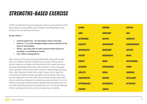## *strengths-based exercise*

At OTR, practitioners may encourage your child or young person to think about their personal qualities, their strengths - the things they can be proud of. You can do this at home too...

#### **All you need is -**

- **• Uninterrupted time but this doesn't have to be long**
- **• Scissors to cut the strengths based words up (found at the back of this booklet)**
- **• Phone you may want to take a picture afterwards as a reminder or something to cherish**
- **• Your child or young person**

After cutting out the words (including the blanks), place them loosely down on a table or the floor, wherever you and your child or young person choose to sit. Explain that they can go first, to select the words that they feel represent them best, then put them in a pile. If they get stuck, ask them to think about what a friend or relative might say about them. After they have chosen their words, it's your turn to select the words that you believe are their strengths. Use the blanks, if the word you are looking for is not their. After you have both chosen, place each of your words down (discard the remaining words) and take it in turns to read out why these words have been selected. Give examples if you can but most importantly, have fun and share the love. You can also ask your child or young person to pick words to represent your qualities.

| <b>LOVING</b>       | <b>CURIOUS</b>     | <b>HOPEFUL</b>       |
|---------------------|--------------------|----------------------|
| <b>KIND</b>         | <b>CONFIDENT</b>   | <b>FAIR</b>          |
| <b>DETERMINED</b>   | <b>HELPFUL</b>     | <b>ENERGETIC</b>     |
| <b>CREATIVE</b>     | <b>INDEPENDENT</b> | <b>COMPASSIONATE</b> |
| <b>ENTHUSIASTIC</b> | <b>OBSERVANT</b>   | <b>ARTISTIC</b>      |
| <b>PATIENT</b>      | <b>RESOURCEFUL</b> | <b>BRAVE</b>         |
| <b>HONEST</b>       | <b>WARM</b>        | <b>ENTERTAINING</b>  |
| <b>ACADEMIC</b>     | <b>SPONTANEOUS</b> | <b>FUNNY</b>         |
| <b>ATHLETIC</b>     | <b>SOCIAL</b>      | GENEROUS             |
| <b>TRUSTWORTHY</b>  | <b>SERIOUS</b>     | <b>INTELLIGENT</b>   |
| <b>APPROACHABLE</b> | <b>RESPONSIBLE</b> | <b>OPTIMISTIC</b>    |
| <b>GENUINE</b>      | <b>LOGICAL</b>     |                      |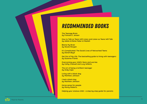## *recommended books*

**The Teenage Brain by Frances E. Jensen** 

**How to Talk so Teens Will Listen and Listen so Teens Will Talk by Adele & Elaine Faber & Mazlish**

**Blame My Brain by Nicola Morgan** 

**It's Complicated: The Social Lives of Networked Teens by Danah Boyd** 

**Get Out of My Life: The bestselling guide to living with teenagers by Suzanne Franks** 

**Overcoming your child's fears and worries by Cathy Creswell and Lucy Willetts**

**The art of being a brilliant teenager by Andy Cope** 

**Living with a black dog by Matthew Johnson** 

**I had a black dog by Matthew Johnson** 

**Horse sense for people by Monty Roberts** 

**Helping your anxious child – a step-by-step guide for parents**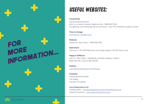# FOR<br>MORE<br>INFORMATION...

## *Useful websites:*

#### **Young Minds**

www.youngminds.org.uk (also run a parents support telephone line - 0808 802 5544) YoungMinds Crisis Messenger Service (24 hours) – text 'YM' to 85258 for support via text

**Time to Change**  www.time-to-change.org.uk

**MindLine** (Weds-Sun, 8pm-12am) – 0808 808 0330

**Samaritans**  (24 hours) – 0117 983 1000 (local call charges apply) / 116 123 (free to call)

**Papyrus HOPELine** (Mon-Fri: 10am-10pm / Weekends and Bank holidays: 2-10pm) – 0800 068 4141 or text 07786 209 697

**MindYou**  www.sites.southglos.gov.uk/mind-you/

**Facebook** Parenting Mental Health The Mighty The Blurt Foundation

#### **www.happymaps.co.uk**

Leading Lights - www.leadinglightseducationandwellbeing.org.uk Supportive parents - www.supportiveparents.org.uk